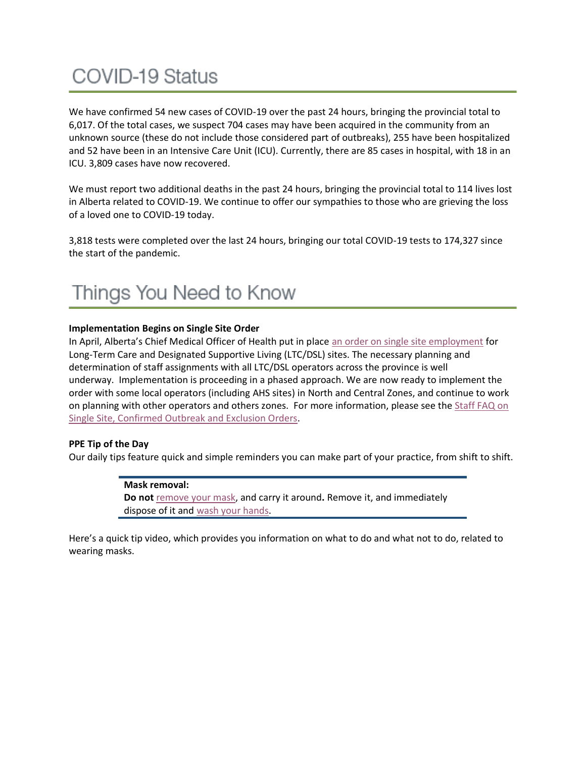# **COVID-19 Status**

We have confirmed 54 new cases of COVID-19 over the past 24 hours, bringing the provincial total to 6,017. Of the total cases, we suspect 704 cases may have been acquired in the community from an unknown source (these do not include those considered part of outbreaks), 255 have been hospitalized and 52 have been in an Intensive Care Unit (ICU). Currently, there are 85 cases in hospital, with 18 in an ICU. 3,809 cases have now recovered.

We must report two additional deaths in the past 24 hours, bringing the provincial total to 114 lives lost in Alberta related to COVID-19. We continue to offer our sympathies to those who are grieving the loss of a loved one to COVID-19 today.

3,818 tests were completed over the last 24 hours, bringing our total COVID-19 tests to 174,327 since the start of the pandemic.

### Things You Need to Know

#### **Implementation Begins on Single Site Order**

In April, Alberta's Chief Medical Officer of Health put in place [an order on single site employment](https://open.alberta.ca/publications/cmoh-order-10-2020-2020-covid-19-response) for Long-Term Care and Designated Supportive Living (LTC/DSL) sites. The necessary planning and determination of staff assignments with all LTC/DSL operators across the province is well underway. Implementation is proceeding in a phased approach. We are now ready to implement the order with some local operators (including AHS sites) in North and Central Zones, and continue to work on planning with other operators and others zones. For more information, please see the [Staff FAQ on](https://www.albertahealthservices.ca/assets/info/ppih/if-ppih-covid-19-single-site-exclusion-orders-staff-faq.pdf)  [Single Site, Confirmed Outbreak and Exclusion Orders.](https://www.albertahealthservices.ca/assets/info/ppih/if-ppih-covid-19-single-site-exclusion-orders-staff-faq.pdf)

#### **PPE Tip of the Day**

Our daily tips feature quick and simple reminders you can make part of your practice, from shift to shift.

#### **Mask removal:**

**Do not** [remove your mask,](https://www.albertahealthservices.ca/assets/Infofor/hp/if-hp-ipc-doffing-ppe-poster.pdf) and carry it around**.** Remove it, and immediately dispose of it and [wash your hands.](https://www.albertahealthservices.ca/assets/healthinfo/ipc/if-hp-ipc-flu-handwash-how-to.pdf)

Here's a quick tip video, which provides you information on what to do and what not to do, related to wearing masks.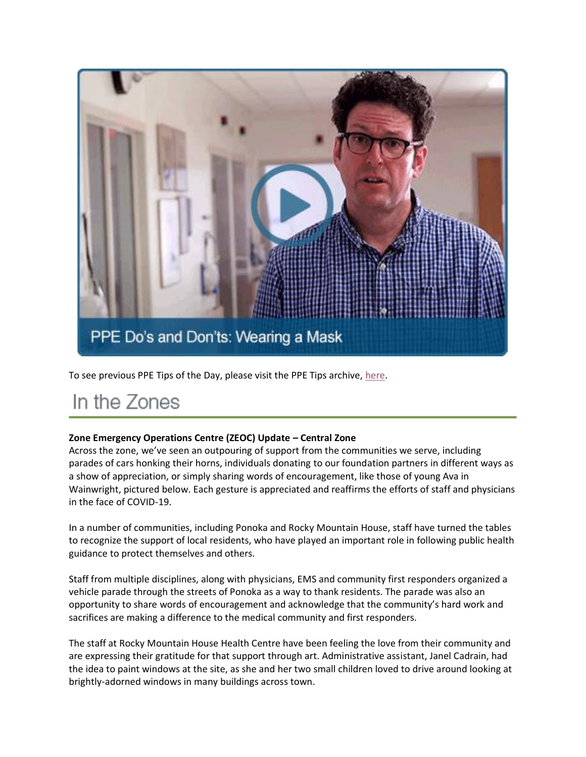

To see previous PPE Tips of the Day, please visit the PPE Tips archive, [here.](https://www.albertahealthservices.ca/topics/Page17119.aspx)

### In the Zones

#### **Zone Emergency Operations Centre (ZEOC) Update – Central Zone**

Across the zone, we've seen an outpouring of support from the communities we serve, including parades of cars honking their horns, individuals donating to our foundation partners in different ways as a show of appreciation, or simply sharing words of encouragement, like those of young Ava in Wainwright, pictured below. Each gesture is appreciated and reaffirms the efforts of staff and physicians in the face of COVID-19.

In a number of communities, including Ponoka and Rocky Mountain House, staff have turned the tables to recognize the support of local residents, who have played an important role in following public health guidance to protect themselves and others.

Staff from multiple disciplines, along with physicians, EMS and community first responders organized a vehicle parade through the streets of Ponoka as a way to thank residents. The parade was also an opportunity to share words of encouragement and acknowledge that the community's hard work and sacrifices are making a difference to the medical community and first responders.

The staff at Rocky Mountain House Health Centre have been feeling the love from their community and are expressing their gratitude for that support through art. Administrative assistant, Janel Cadrain, had the idea to paint windows at the site, as she and her two small children loved to drive around looking at brightly-adorned windows in many buildings across town.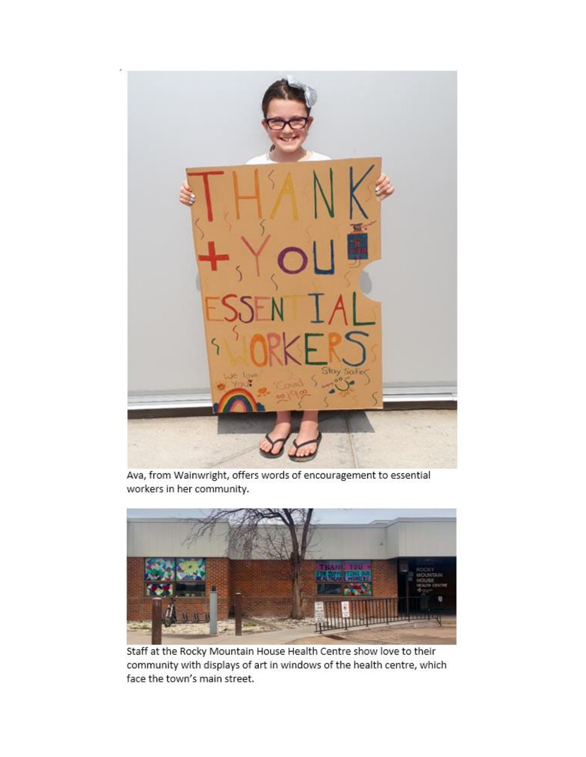

Ava, from Wainwright, offers words of encouragement to essential workers in her community.



Staff at the Rocky Mountain House Health Centre show love to their community with displays of art in windows of the health centre, which face the town's main street.